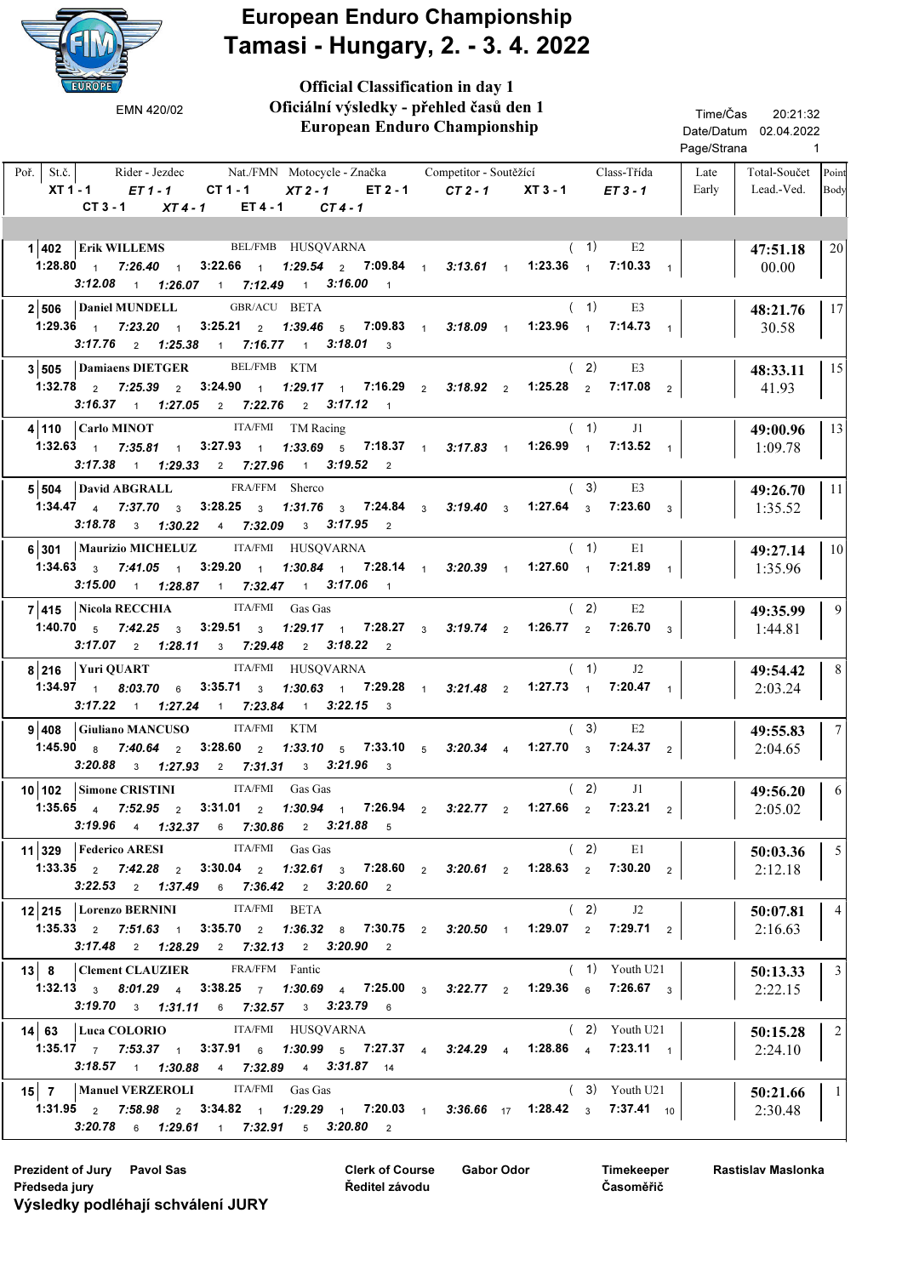

Official Classification in day 1

| Oficiální výsledky - přehled časů den 1<br>EMN 420/02<br><b>European Enduro Championship</b>                                                                                                                                                                                        |                                                   | Time/Čas<br>20:21:32<br>Date/Datum 02.04.2022<br>Page/Strana<br>$\mathbf{1}$ |                                                        |
|-------------------------------------------------------------------------------------------------------------------------------------------------------------------------------------------------------------------------------------------------------------------------------------|---------------------------------------------------|------------------------------------------------------------------------------|--------------------------------------------------------|
| $Po\check{r}$ . St.č.<br>Rider - Jezdec Nat./FMN Motocycle - Značka Competitor - Soutěžící<br>XT1-1 <i>ET1-1</i> CT1-1<br>$ET 4 - 1$ $CT 4 - 1$<br>$CT3-1$<br>$XT4-1$                                                                                                               | XT2-1 ET2-1 CT2-1 XT3-1 ET3-1                     | Class-Třída                                                                  | Late<br>Total-Součet Point<br>Early<br>Lead.-Ved. Body |
| Erik WILLEMS BEL/FMB HUSQVARNA<br>1 402<br>1:28.80 1 7:26.40 1 3:22.66 1 7:29.54 2 7:09.84 1 3:13.61 1 1:23.36 1 7:10.33 1<br>$3:12.08$ 1 $1:26.07$ 1 $7:12.49$ 1 $3:16.00$ 1                                                                                                       |                                                   | (1)<br>E <sub>2</sub>                                                        | 20<br>47:51.18<br>00.00                                |
| $2 506$ Daniel MUNDELL<br>GBR/ACU BETA<br>1:29.36 1 7:23.20 1 3:25.21 2 1:39.46 5 7:09.83 1 3:18.09 1 1:23.96 1<br>$3:17.76$ 2 $1:25.38$ 1 $7:16.77$ 1 $3:18.01$ 3                                                                                                                  |                                                   | (1)<br>E3<br>$7:14.73$ 1                                                     | 17<br>48:21.76<br>30.58                                |
| 3 505 Damiaens DIETGER<br>BEL/FMB KTM<br>$1:32.78$ $2$ $7:25.39$ $2$ $3:24.90$ $1$<br>$3:16.37$ 1 $1:27.05$ 2 $7:22.76$ 2 $3:17.12$ 1                                                                                                                                               | 1:29.17 1 7:16.29 2 3:18.92 2 1:25.28 2 7:17.08 2 | (2)<br>E3                                                                    | 15<br>48:33.11<br>41.93                                |
| ITA/FMI TM Racing<br>$4 110$ Carlo MINOT<br>1:32.63 1 7:35.81 1 3:27.93 1 1:33.69 5 7:18.37 1 3:17.83 1<br>$3:17.38$ 1 $1:29.33$ 2 $7:27.96$ 1 $3:19.52$ 2                                                                                                                          |                                                   | (1)<br>J1<br>1:26.99 $1.7:13.52$ 1                                           | 13<br>49:00.96<br>1:09.78                              |
| FRA/FFM Sherco<br>$5 504$ David ABGRALL<br>1:34.47 4 7:37.70 3 3:28.25 3 1:31.76 3 7:24.84 3 3:19.40 3 1:27.64 3 7:23.60 3<br>$3:18.78$ 3 $1:30.22$ 4 $7:32.09$ 3 $3:17.95$ 2                                                                                                       |                                                   | (3)<br>E3                                                                    | 11<br>49:26.70<br>1:35.52                              |
| ITA/FMI HUSQVARNA<br>6 301   Maurizio MICHELUZ<br>1:34.63 $3$ 7:41.05 $1$ 3:29.20 $1$<br>$3:15.00$ 1 $1:28.87$ 1 $7:32.47$ 1 $3:17.06$ 1                                                                                                                                            | 1:30.84 1 7:28.14 1 3:20.39 1 1:27.60 1           | (1)<br>E1<br>$7:21.89$ 1                                                     | 10 <sup>1</sup><br>49:27.14<br>1:35.96                 |
| 7 415 Nicola RECCHIA ITA/FMI Gas Gas<br>1:40.70 $\frac{1}{5}$ 7:42.25 $\frac{1}{3}$ 3:29.51 $\frac{1}{3}$ 1:29.17 $\frac{1}{1}$ 7:28.27 $\frac{1}{3}$ 3:19.74 $\frac{1}{2}$<br>$3:17.07$ 2 $1:28.11$ 3 $7:29.48$ 2 $3:18.22$ 2                                                      |                                                   | (2)<br>E2<br>1:26.77 $\frac{1}{2}$ 7:26.70 $\frac{1}{3}$                     | 9 <sup>1</sup><br>49:35.99<br>1:44.81                  |
| ITA/FMI HUSQVARNA<br>$8 216$ Yuri QUART<br>1:34.97 1 8:03.70 6 3:35.71 3 1:30.63 1 7:29.28 1 3:21.48 2 1:27.73 1<br>$3:17.22$ 1 $1:27.24$ 1 $7:23.84$ 1 $3:22.15$ 3                                                                                                                 |                                                   | (1)<br>J2<br>7:20.47 $\frac{1}{1}$                                           | 8<br>49:54.42<br>2:03.24                               |
| ITA/FMI KTM<br>9 408 Giuliano MANCUSO<br>1:45.90 $\frac{1}{8}$ 7:40.64 $\frac{1}{2}$ 3:28.60 $\frac{1}{2}$ 1:33.10 $\frac{1}{5}$ 7:33.10 $\frac{1}{5}$ 3:20.34 $\frac{1}{4}$ 1:27.70 $\frac{1}{3}$ 7:24.37 $\frac{1}{2}$<br>3:20.88 $3 \quad 1:27.93$ 2 7:31.31 $3 \quad 3:21.96$ 3 |                                                   | (3)<br>E2                                                                    | 7 <sup>1</sup><br>49:55.83<br>2:04.65                  |
| 10 102 Simone CRISTINI ITA/FMI Gas Gas<br>1:35.65 4 7:52.95 2 3:31.01 2 1:30.94 1 7:26.94 2 3:22.77 2 1:27.66 2 7:23.21 2<br>3:19.96 4 1:32.37 6 7:30.86 2 3:21.88 5                                                                                                                |                                                   | $(2)$ J1                                                                     | 6<br>49:56.20<br>2:05.02                               |
| ITA/FMI Gas Gas<br>11 329   Federico ARESI<br>1:33.35 $\frac{1}{2}$ 7:42.28 $\frac{1}{2}$ 3:30.04 $\frac{1}{2}$ 1:32.61 $\frac{1}{3}$ 7:28.60 $\frac{1}{2}$ 3:20.61 $\frac{1}{2}$ 1:28.63 $\frac{1}{2}$ 7:30.20 $\frac{1}{2}$<br>3:22.53 2 1:37.49 6 7:36.42 2 3:20.60 2            |                                                   | (2)<br>E1                                                                    | 5 <sup>5</sup><br>50:03.36<br>2:12.18                  |
| 12 215 Lorenzo BERNINI ITA/FMI BETA<br>1:35.33 $\frac{1}{2}$ 7:51.63 $\frac{1}{1}$ 3:35.70 $\frac{1}{2}$ 1:36.32 $\frac{1}{8}$ 7:30.75 $\frac{1}{2}$ 3:20.50 $\frac{1}{1}$ 1:29.07 $\frac{1}{2}$ 7:29.71 $\frac{1}{2}$<br>$3:17.48$ 2 $1:28.29$ 2 $7:32.13$ 2 $3:20.90$ 2           |                                                   | (2)<br>J2                                                                    | 4 <sup>1</sup><br>50:07.81<br>2:16.63                  |
| 13 8 Clement CLAUZIER FRA/FFM Fantic<br>1:32.13 3 8:01.29 4 3:38.25 7 1:30.69 4 7:25.00 3 3:22.77 2 1:29.36 6 7:26.67 3<br><b>3:19.70</b> 3 <b>1:31.11</b> 6 <b>7:32.57</b> 3 <b>3:23.79</b> 6                                                                                      |                                                   | $(1)$ Youth U21                                                              | $\overline{\phantom{a}3}$<br>50:13.33<br>2:22.15       |
| 14 63 Luca COLORIO ITA/FMI HUSQVARNA<br>1:35.17 7 7:53.37 1 3:37.91 6 1:30.99 5 7:27.37 4 3:24.29 4 1:28.86 4 7:23.11 1<br>$3:18.57$ 1 $1:30.88$ 4 $7:32.89$ 4 $3:31.87$ 14                                                                                                         |                                                   | $(2)$ Youth U21                                                              | $\overline{2}$<br>50:15.28<br>2:24.10                  |
| 15 7   Manuel VERZEROLI ITA/FMI Gas Gas<br>1:31.95 $\frac{1}{2}$ 7:58.98 $\frac{1}{2}$ 3:34.82 $\frac{1}{1}$ 1:29.29 $\frac{1}{1}$ 7:20.03 $\frac{1}{1}$ 3:36.66 $\frac{1}{17}$ 1:28.42 $\frac{1}{3}$ 7:37.41 $\frac{1}{10}$<br>$3:20.78$ 6 $1:29.61$ 1 $7:32.91$ 5 $3:20.80$ 2     |                                                   | $(3)$ Youth U21                                                              | $\vert$ 1<br>50:21.66<br>2:30.48                       |

Prezident of Jury Pavol Sas Gabor Odor Clerk of Course Gabor Odor Předseda jury Výsledky podléhají schválení JURY

Clerk of Course Ředitel závodu

Timekeeper Časoměřič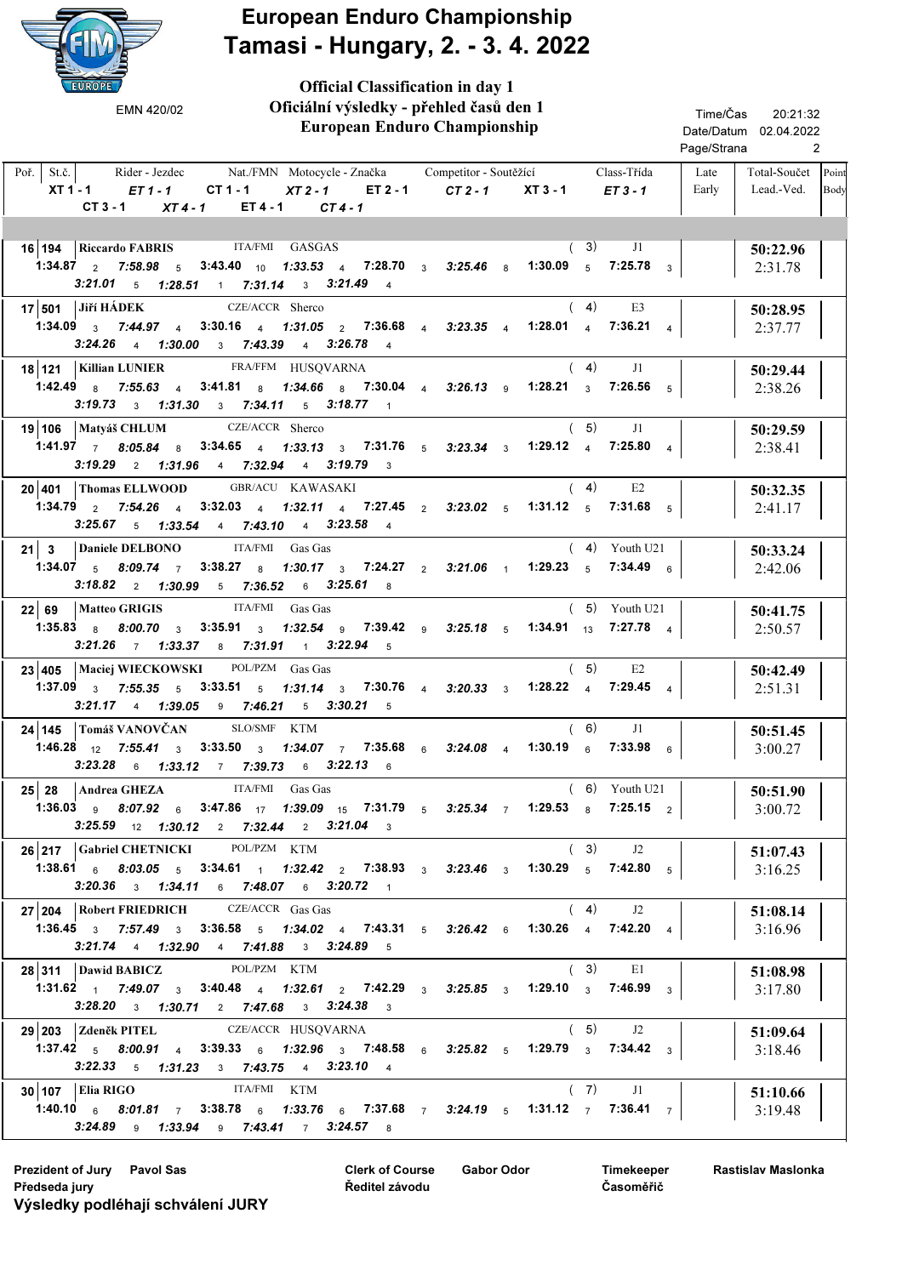

Official Classification in day 1

 European Enduro Championship Rider - Jezdec Nat./FMN Motocycle - Značka Competitor - Soutěžící Class-Třída Late Total-Součet Lead.-Ved. Poř. St.č. XT1-1 ET1-1 CT1-1 XT2-1 ET2-1 CT2-1 XT3-1 20:21:32 2 Date/Datum 02.04.2022 Time/Čas Page/Strana Late Early Competitor - Soutěžící Oficiální výsledky - přehled časů den 1  $ET 3 - 1$ Point Body EMN 420/02  $CT 3 - 1$   $XT 4 - 1$   $ET 4 - 1$   $CT 4 - 1$ 16 194 Riccardo FABRIS ITA/FMI GASGAS (3) J1 360:22.96 2:31.78 1:34.87 7:58.98 3:43.40 1:33.53 7:28.70 3:25.46 1:30.09 2 5 10 4 3 8 5 3 7:25.78  $(3)$  J1  $3:21.01$  5 1:28.51 1 7:31.14 3 3:21.49 4 17 501 JIří HÁDEK CZE/ACCR Sherco (4) E3 | 50:28.95 2:37.77 Jiří HÁDEK CZE/ACCR Sherco  $1:34.09$   $3$   $7:44.97$   $4$   $3:30.16$   $4$   $1:31.05$   $2$   $7:36.68$   $4$   $3:23.35$   $4$   $1:28.01$   $4$   $7:36.21$   $4$  $( 4)$  $3:24.26$  4  $1:30.00$  3  $7:43.39$  4  $3:26.78$  4 18 121 | Killian LUNIER FRA/FFM HUSQVARNA (4) J1 | 50:29.44 2:38.26 Killian LUNIER FRA/FFM HUSQVARNA  $1:42.49$   $8$   $7:55.63$   $4$   $3:41.81$   $8$   $1:34.66$   $8$   $7:30.04$   $4$   $3:26.13$   $9$   $1:28.21$   $3$   $7:26.56$   $5$  $( 4)$  $3:19.73$  3 1:31.30 3 7:34.11 5 3:18.77 1 19 106 50:29.59 Matyáš CHLUM Sherco 2:38.41 CZE/ACCR Sherco  $1:41.97$   $7$   $8:05.84$   $8$   $3:34.65$   $4$   $1:33.13$   $3$   $7:31.76$   $5$   $3:23.34$   $3$   $1:29.12$   $4$   $7:25.80$   $4$  $(5)$  J1 3:19.29 2 1:31.96 4 7:32.94 4 3:19.79 3 20 401 | Thomas ELLWOOD GBR/ACU KAWASAKI (4) E2 | 50:32.35 2:41.17 GBR/ACU KAWASAKI 1:34.79 7:54.26 3:32.03 1:32.11 7:27.45 3:23.02 1:31.12 2 4 4 4 2 5 5 5 7:31.68  $(4)$  E2  $3:25.67$  5 1:33.54 4 7:43.10 4 3:23.58 4 **21** 3 Daniele DELBONO ITA/FMI Gas Gas (4) Youth U21  $\begin{bmatrix} 21 & 3 \end{bmatrix}$  50:33.24 2:42.06 ITA/FMI Gas Gas 1:34.07  $_5$  8:09.74  $_7$  3:38.27  $_8$  1:30.17  $_3$  7:24.27  $_2$  3:21.06  $_1$  1:29.23  $_5$  7:34.49  $_6$ ( 4) Youth U21  $3:18.82$  2 1:30.99 5 7:36.52 6 3:25.61 8 22 69 50:41.75 2:50.57 Matteo GRIGIS FITA/FMI Gas Gas 1:35.83  $_{8}$  8:00.70  $_{3}$  3:35.91  $_{3}$  1:32.54  $_{9}$  7:39.42  $_{9}$  3:25.18  $_{5}$  1:34.91  $_{13}$  7:27.78  $_{4}$ ( 5) Youth U21  $3:21.26$  7 1:33.37 8 7:31.91 1 3:22.94 5 **23 405 | Maciej WIECKOWSKI** POL/PZM Gas Gas (5) E2 | 50:42.49 2:51.31 1:37.09  $_3$  7:55.35  $_5$  3:33.51  $_5$  1:31.14  $_3$  7:30.76  $_4$  3:20.33  $_3$  1:28.22  $_4$  7:29.45  $_4$  $(5)$  E2  $3:21.17$  4 1:39.05 9 7:46.21 5 3:30.21 5 **24 | 145 | Tomáš VANOVČAN** SLO/SMF KTM (6) J1 | 50:51.45 3:00.27 SLO/SMF 1:46.28 <sub>12</sub> 7:55.41  $_3$  3:33.50  $_3$  1*:34.07*  $_7$  7:35.68  $_6$  3*:24.08*  $_4$  1:30.19  $_6$  7:33.98  $_6$  $(6)$  J1  $3:23.28$  6 1:33.12 7 7:39.73 6 3:22.13 6 25 28 50:51.90 3:00.72 Andrea GHEZA 
ITA/FMI Gas Gas 1:36.03 <sub>9</sub> 8:07.92  $_6$  3:47.86 <sub>17</sub> 1:39.09 <sub>15</sub> 7:31.79  $_5$  3:25.34  $_7$  1:29.53  $_8$  7:25.15  $_2$ ( 6) Youth U21  $3:25.59$  12 1:30.12 2 7:32.44 2 3:21.04 3 **26 217 Gabriel CHETNICKI** POLPZM KTM (3) J2 **51:07.43** 3:16.25 POL/PZM 1:38.61  $_6$  *8:03.05*  $_5$  3:34.61  $_1$  *1:32.42*  $_2$  7:38.93  $_3$  *3:23.46*  $_3$  1:30.29  $_5$  7:42.80  $_5$  $(3)$  J2  $3:20.36$  3 1:34.11 6 7:48.07 6 3:20.72 1  $27|204$  Robert FRIEDRICH CZE/ACCR Gas Gas (4) J2  $|$  51:08.14 3:16.96 CZE/ACCR Gas Gas 1:36.45  $_3$  7:57.49  $_3$  3:36.58  $_5$  1:34.02  $_4$  7:43.31  $_5$  3:26.42  $_6$  1:30.26  $_4$  7:42.20  $_4$  $(4)$  J2  $3:21.74$  4 1:32.90 4 7:41.88 3 3:24.89 5 **28 311 | Dawid BABICZ** POLPZM KTM (3) E1 | 51:08.98 3:17.80 POL/PZM 1:31.62 <sub>1</sub> 7:49.07  $_3$  3:40.48 <sub>4</sub> 1:32.61  $_2$  7:42.29  $_3$  3:25.85  $_3$  1:29.10  $_3$  7:46.99  $_3$  $(3)$  E1  $3:28.20$  3 1:30.71 2 7:47.68 3 3:24.38 3 29 203 51:09.64 CZE/ACCR Zdeněk PITEL HUSQVARNA 3:18.46 1:37.42  $_5$  8:00.91  $_4$  3:39.33  $_6$  1:32.96  $_3$  7:48.58  $_6$  3:25.82  $_5$  1:29.79  $_3$  7:34.42  $_3$  $(5)$  J2  $3:22.33$  5 1:31.23 3 7:43.75 4 3:23.10 4 30 107 51:10.66 3:19.48 Elia RIGO **ITA/FMI** KTM 1:40.10  $_6$  8:01.81  $_7$  3:38.78  $_6$  1:33.76  $_6$  7:37.68  $_7$  3:24.19  $_5$  1:31.12  $_7$  7:36.41  $_7$  $(7)$  $3:24.89$  9  $1:33.94$  9  $7:43.41$  7  $3:24.57$  8

Clerk of Course Prezident of Jury Pavol Sas Gabor Odor Předseda jury Výsledky podléhají schválení JURY

Ředitel závodu

Timekeeper Časoměřič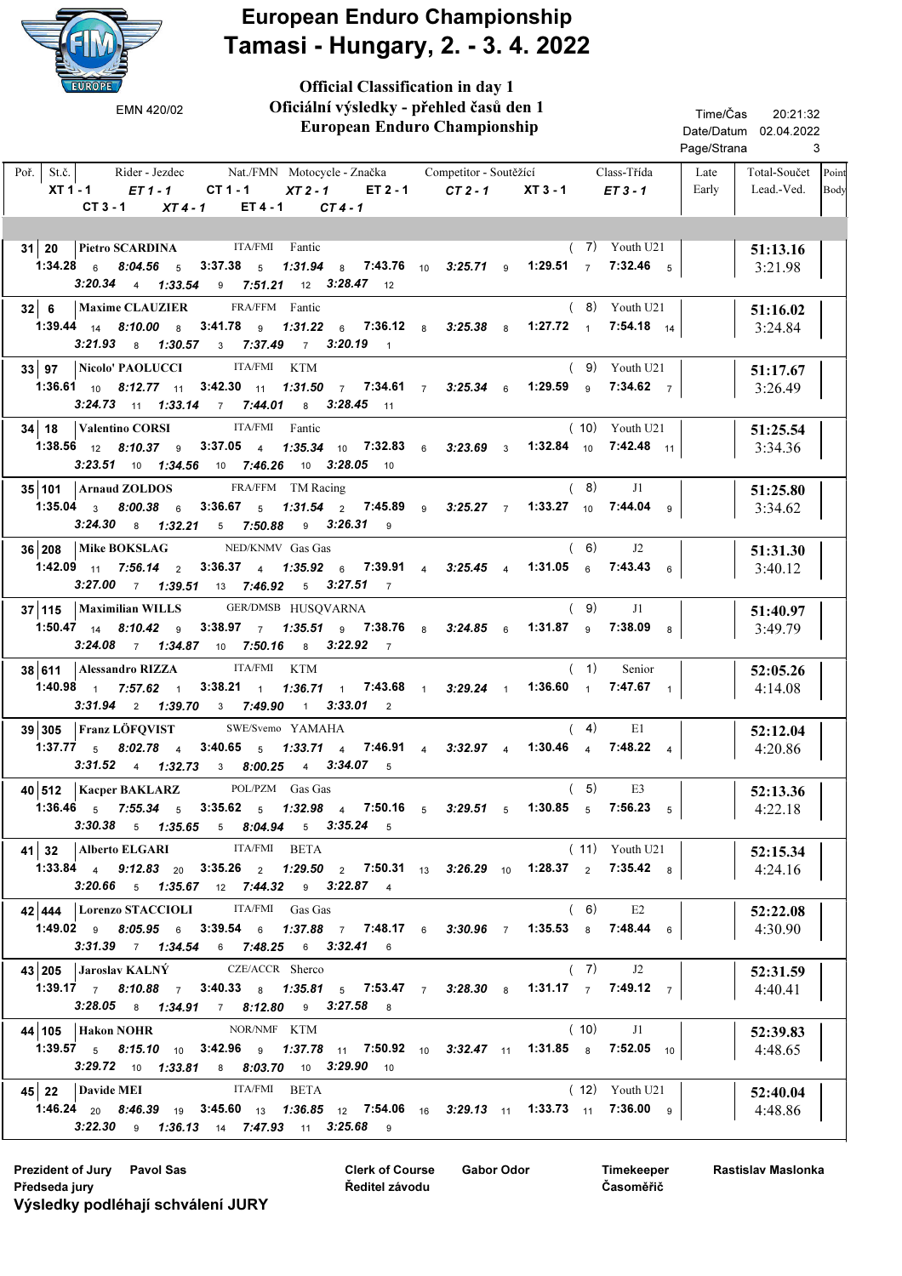

Official Classification in day 1

 European Enduro Championship Rider - Jezdec Nat./FMN Motocycle - Značka Competitor - Soutěžící Class-Třída Late Total-Součet Lead.-Ved. Poř. St.č. XT 1 - 1 ET 1 - 1 CT 1 - 1 XT 2 - 1 ET 2 - 1 CT 2 - 1 XT 3 - 1 ET 3 - 1 20:21:32 3 Date/Datum 02.04.2022 Time/Čas Page/Strana Late Early Competitor - Soutěžící Oficiální výsledky - přehled časů den 1 Point Body EMN 420/02  $CT 3 - 1$   $XT 4 - 1$   $ET 4 - 1$   $CT 4 - 1$ 31 20 Pietro SCARDINA ITA/FMI Fantic (7) Youth U21 51:13.16 3:21.98 1:34.28  $_6$  8:04.56  $_5$  3:37.38  $_5$  1:31.94  $_8$  7:43.76  $_{10}$  3:25.71  $_9$  1:29.51  $_7$  7:32.46  $_5$ ( 7) Youth U21  $3:20.34$  4 1:33.54 9 7:51.21 12 3:28.47 12 **32 6 | Maxime CLAUZIER** FRA/FFM Fantic (8) Youth U21 | 51:16.02 3:24.84 FRA/FFM Fantic 1:39.44 <sub>14</sub> 8:10.00  $_8$  3:41.78  $_9$  1:31.22  $_6$  7:36.12  $_8$  3:25.38  $_8$  1:27.72  $_1$  7:54.18  $_{14}$ ( 8) Youth U21  $3:21.93$  8 1:30.57 3 7:37.49 7 3:20.19 1 **33 97 Nicolo' PAOLUCCI** ITA/FMI KTM **61.17.67** (9) Youth U21 **51:17.67** 3:26.49 ITA/FMI 1:36.61 <sub>10</sub> 8:12.77 <sub>11</sub> 3:42.30 <sub>11</sub> 1:31.50 7 7:34.61 7 3:25.34 <sub>6</sub> 1:29.59 <sub>9</sub> 7:34.62 7 ( 9) Youth U21  $3:24.73$  11 1:33.14 7 7:44.01 8 3:28.45 11 34 | 18 | Valentino CORSI FIA/FMI Fantic (10) Youth U21 | 51:25.54 3:34.36 ITA/FMI Fantic  $1:38.56$   $12$   $8:10.37$   $9$   $3:37.05$   $4$   $1:35.34$   $10$   $7:32.83$   $6$   $3:23.69$   $3$   $1:32.84$   $10$   $7:42.48$   $11$ ( 10) Youth U21  $3:23.51$  10  $1:34.56$  10  $7:46.26$  10  $3:28.05$  10 **35 101 | Arnaud ZOLDOS** FRA/FFM TM Racing  $(8)$  J1 | 51:25.80 3:34.62 Arnaud ZOLDOS FRA/FFM TM Racing 1:35.04  $_3$   $8:00.38$   $_6$   $3:36.67$   $_5$  1*:31.54*  $_2$  7:45.89  $_9$  3*:25.27*  $_7$  1:33.27  $_{10}$  7:44.04  $_9$  $(8)$  $3:24.30$  8  $1:32.21$  5  $7:50.88$  9  $3:26.31$  9 **36 208** Mike BOKSLAG NED/KNMV Gas Gas (6) J2 | 51:31.30 3:40.12 Mike BOKSLAG NED/KNMV Gas Gas 1:42.09 <sub>11</sub> 7:56.14  $_2$  3:36.37  $_4$  1:35.92  $_6$  7:39.91  $_4$  3:25.45  $_4$  1:31.05  $_6$  7:43.43  $_6$  $(6)$  $3:27.00$  7 1:39.51 13 7:46.92 5 3:27.51 7 37 | 115 | Maximilian WILLS GER/DMSB HUSQVARNA (9) J1 | 51:40.97 3:49.79 1:50.47 <sub>14</sub> 8:10.42 <sub>9</sub> 3:38.97 <sub>7</sub> 1:35.51 <sub>9</sub> 7:38.76 <sub>8</sub> 3:24.85 <sub>6</sub> 1:31.87 <sub>9</sub> 7:38.09 <sub>8</sub>  $(9)$  J1  $3:24.08$  7 1:34.87 10 7:50.16 8 3:22.92 7  $38\,$  611 | Alessandro RIZZA ITA/FMI KTM (1) Senior | 52:05.26 4:14.08 ITA/FMI 1:40.98 <sub>1</sub> 7:57.62 <sub>1</sub> 3:38.21 <sub>1</sub> 1:36.71 <sub>1</sub> 7:43.68 <sub>1</sub> 3:29.24 <sub>1</sub> 1:36.60 <sub>1</sub> 7:47.67 <sub>1</sub> ( 1) Senior  $3:31.94$  2 1:39.70 3 7:49.90 1 3:33.01 2  $39 \mid 305$  Franz LÖFQVIST SWE/Svemo YAMAHA (4) E1 | 52:12.04 4:20.86 SWE/Svemo YAMAHA 1:37.77  $_5$  8:02.78  $_4$  3:40.65  $_5$  1:33.71  $_4$  7:46.91  $_4$  3:32.97  $_4$  1:30.46  $_4$  7:48.22  $_4$  $(4)$  E1 3:31.52 4 1:32.73 3 8:00.25 4 3:34.07 5  $40\,$  512 | Kacper BAKLARZ POL/PZM Gas Gas (5) E3 | 52:13.36 4:22.18 Kacper BAKLARZ POL/PZM Gas Gas 1:36.46  $_5$  7:55.34  $_5$  3:35.62  $_5$  1:32.98  $_4$  7:50.16  $_5$  3:29.51  $_5$  1:30.85  $_5$  7:56.23  $_5$  $(5)$  $3:30.38$  5 1:35.65 5 8:04.94 5 3:35.24 5 41 32 52:15.34 Alberto ELGARI BETA 4:24.16 ITA/FMI 1:33.84 <sub>4</sub> 9:12.83 <sub>20</sub> 3:35.26 <sub>2</sub> 1:29.50 <sub>2</sub> 7:50.31 <sub>13</sub> 3:26.29 <sub>10</sub> 1:28.37 <sub>2</sub> 7:35.42 <sub>8</sub> ( 11) Youth U21  $3:20.66$  5 1:35.67 12 7:44.32 9 3:22.87 4 42 444 Lorenzo STACCIOLI ITA/FMI Gas Gas (6) E2 32:22.08 4:30.90 ITA/FMI Gas Gas 1:49.02 <sub>9</sub> 8:05.95 <sub>6</sub> 3:39.54 <sub>6</sub> 1:37.88 <sub>7</sub> 7:48.17 <sub>6</sub> 3:30.96 <sub>7</sub> 1:35.53 <sub>8</sub> 7:48.44 <sub>6</sub>  $(6)$  E2 3:31.39 7 1:34.54 6 7:48.25 6 3:32.41 6 43 205 Jaroslav KALNÝ CZE/ACCR Sherco (7) 32 31.59 4:40.41 CZE/ACCR Sherco 1:39.17  $\frac{1}{7}$  8:10.88  $\frac{1}{7}$  3:40.33  $\frac{1}{8}$  1:35.81  $\frac{1}{5}$  7:53.47  $\frac{1}{7}$  3:28.30  $\frac{1}{8}$  1:31.17  $\frac{1}{7}$  7:49.12  $\frac{1}{7}$  $(7)$  J2  $3:28.05$  8 1:34.91 7 8:12.80 9 3:27.58 8 44 | 105 | Hakon NOHR NOR/NMF KTM (10) J1 | 52:39.83 4:48.65 NOR/NMF 1:39.57  $_5$  8:15.10 <sub>10</sub> 3:42.96 <sub>9</sub> 1:37.78 <sub>11</sub> 7:50.92 <sub>10</sub> 3:32.47 <sub>11</sub> 1:31.85  $_8$  7:52.05 <sub>10</sub>  $(10)$  J1  $3:29.72$  10 1:33.81 8 8:03.70 10 3:29.90 10 45 22 Davide MEI BETA CONTRACTED AT A CONTRACT CONTRACTED AND TALK CONTRACTED ASSESSMENT AND TRACTED AT A CONTRACTED AT A CONTRACTED AND SET A CONTRACTED AND SOLUTION OF SALARY SET AND A CONTRACTED AT A CONTRACTED AND DETA 4:48.86 ITA/FMI  $1:46.24$   $_{20}$   $8:46.39$   $_{19}$   $3:45.60$   $_{13}$   $1:36.85$   $_{12}$   $7:54.06$   $_{16}$   $3:29.13$   $_{11}$   $1:33.73$   $_{11}$   $7:36.00$   $_{9}$ ( 12) Youth U21  $3:22.30$  9  $1:36.13$  14  $7:47.93$  11  $3:25.68$  9

Clerk of Course Prezident of Jury Pavol Sas Gabor Odor Předseda jury Výsledky podléhají schválení JURY

Ředitel závodu

Timekeeper Časoměřič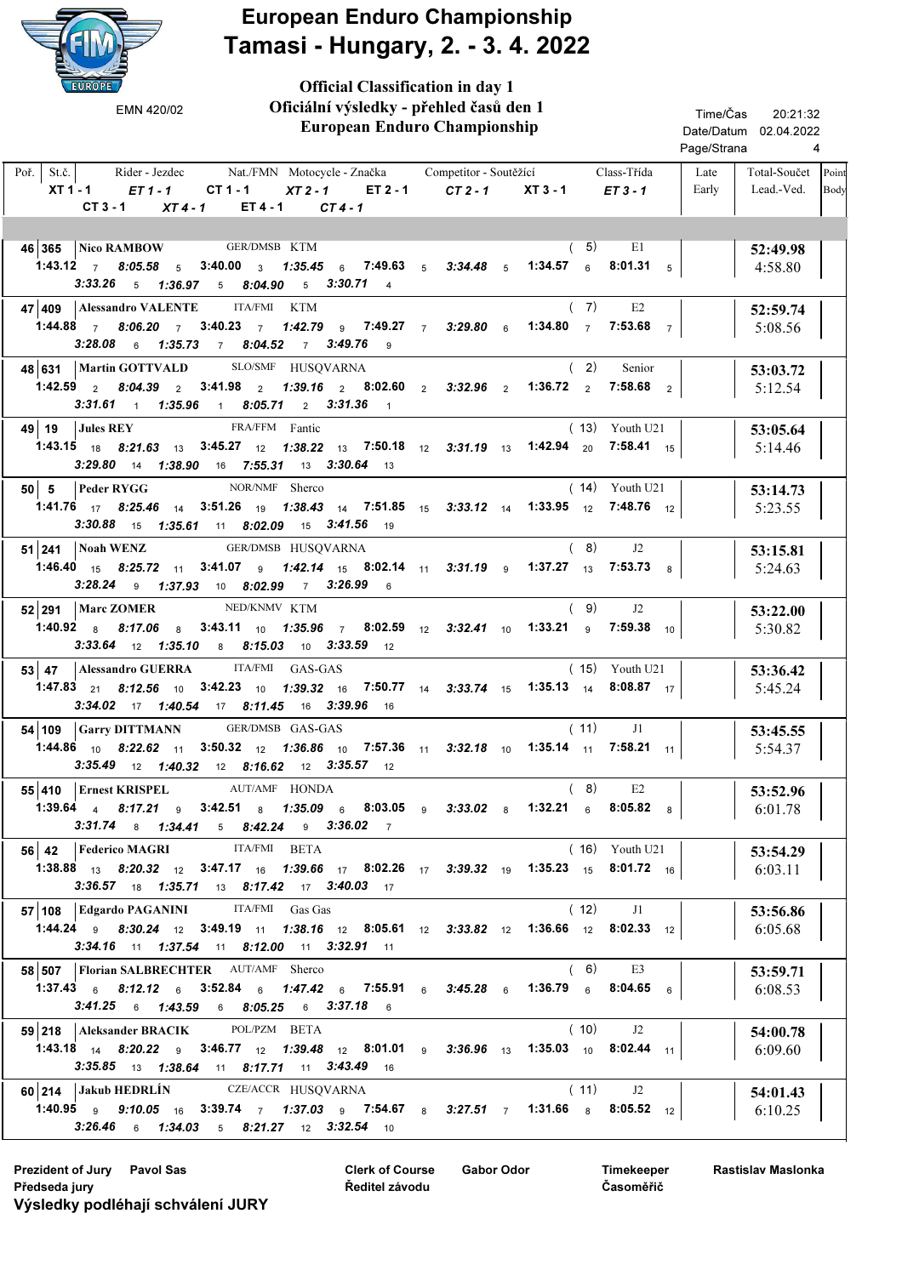

Official Classification in day 1

 European Enduro Championship Rider - Jezdec Nat./FMN Motocycle - Značka Competitor - Soutěžící Class-Třída Late Total-Součet Lead.-Ved. Poř. St.č. XT1-1 ET1-1 CT1-1 XT2-1 ET2-1 CT2-1 XT3-1 20:21:32 4 Date/Datum 02.04.2022 Time/Čas Page/Strana Late Early Competitor - Soutěžící Oficiální výsledky - přehled časů den 1  $ET 3 - 1$ Point Body EMN 420/02  $CT 3 - 1$   $XT 4 - 1$   $ET 4 - 1$   $CT 4 - 1$ 46 365 Nico RAMBOW GER/DMSB KTM (5) E1 52:49.98 4:58.80 1:43.12  $\,$  7  $\,$  8:05.58  $\,$  5  $\,$  3:40.00  $\,$   $\,$  3  $\,$  1:35.45  $\,$  6  $\,$  7:49.63  $\,$  5  $\,$  3:34.48  $\,$  5  $\,$  1:34.57  $\,$  6  $\,$  8:01.31  $\,$  5  $(5)$  E1  $3:33.26$  5 1:36.97 5 8:04.90 5 3:30.71 4 47 409 52:59.74 Alessandro VALENTE KTM 5:08.56 ITA/FMI 1:44.88  $\,$  7  $\,$  8:06.20  $\,$  7  $\,$  3:40.23  $\,$  7  $\,$  1:42.79  $\,$  9  $\,$  7:49.27  $\,$  7  $\,$  3:29.80  $\,$  6  $\,$  1:34.80  $\,$  7  $\,$  7:53.68  $\,$  7  $(7)$  E2  $3:28.08$  6 1:35.73 7 8:04.52 7 3:49.76 9 48 631 | Martin GOTTVALD SLO/SMF HUSQVARNA (2) Senior | 53:03.72 5:12.54 SLO/SMF 1:42.59  $\,$   $_{2}$   $\,$   $\,$  8:04.39  $\,$   $_{2}$   $\,$  3:41.98  $\,$   $_{2}$  1:33.16  $\,$   $_{2}$  8:02.60  $\,$   $_{2}$  3:32.96  $\,$   $_{2}$  1:36.72  $\,$   $_{2}$  7:58.68  $\,$   $_{2}$ ( 2) Senior  $3:31.61$  1:35.96 1 8:05.71 2 3:31.36 1 49 19 53:05.64 5:14.46 Jules REY FRA/FFM Fantic **1:43.15** 18 8:21.63 13 3:45.27 12 1:38.22 13 7:50.18 12 3:31.19 13 1:42.94 20 7:58.41 15 Youth U21 3:29.80 14 1:38.90 16 7:55.31 13 3:30.64 13 50 5 53:14.73 5:23.55 Peder RYGG NOR/NMF Sherco 1:41.76 8:25.46 3:51.26 1:38.43 7:51.85 3:33.12 1:33.95 17 14 19 14 15 14 12 12 7:48.76 ( 14) Youth U21  $3:30.88$  15 1:35.61 11 8:02.09 15 3:41.56 19 51 241 53:15.81 GER/DMSB Noah WENZ HUSQVARNA 5:24.63  $\bf{1:46.40}$   $\bf{1_5}$   $\bf{8:25.72}$   $\bf{1_1}$   $\bf{3:41.07}$   $\bf{9}$   $\bf{1:42.14}$   $\bf{1_5}$   $\bf{8:02.14}$   $\bf{1_1}$   $\bf{3:31.19}$   $\bf{9}$   $\bf{1:37.27}$   $\bf{1_3}$   $\bf{7:53.73}$   $\bf{8}$  $(8)$  J2 3:28.24 9 1:37.93 10 8:02.99 7 3:26.99 6 **52 291 | Marc ZOMER** NED/KNMV KTM (9) J2 | 53:22.00 5:30.82 Marc ZOMER NED/KNMV KTM 1:40.92 8:17.06 3:43.11 1:35.96 8:02.59 3:32.41 1:33.21 8 8 10 7 12 10 9 10 7:59.38  $(9)$  $3:33.64$  12 1:35.10 8 8:15.03 10 3:33.59 12 **53 47 Alessandro GUERRA** ITA/FMI GAS-GAS (15) Youth U21 15 33:36.42 5:45.24 ITA/FMI GAS-GAS  $\begin{array}{cccccccccccc} 1:47.83 & _{21} & 8:12.56 & _{10} & 3:42.23 & _{10} & 1:39.32 & _{16} & 7:50.77 & _{14} & 3:33.74 & _{15} & 1:35.13 & _{14} & 8:08.87 & _{17} \end{array}$ ( 15) Youth U21  $3:34.02$  17 1:40.54 17 8:11.45 16 3:39.96 16 54 109 Garry DITTMANN GER/DMSB GAS-GAS (11) J1 33:45.55 5:54.37 GER/DMSB GAS-GAS  $1:44.86$  <sub>10</sub>  $8:22.62$  <sub>11</sub>  $3:50.32$  <sub>12</sub>  $1:36.86$  <sub>10</sub>  $7:57.36$  <sub>11</sub>  $3:32.18$  <sub>10</sub>  $1:35.14$  <sub>11</sub>  $7:58.21$  <sub>11</sub>  $(11)$  J1 3:35.49 12 1:40.32 12 8:16.62 12 3:35.57 12 55 410 Ernest KRISPEL AUT/AMF HONDA (8) E2 35:52.96 6:01.78 Ernest KRISPEL AUT/AMF HONDA 1:39.64 <sub>4</sub> 8:17.21 <sub>9</sub> 3:42.51 <sub>8</sub> 1:35.09 <sub>6</sub> 8:03.05 <sub>9</sub> 3:33.02 <sub>8</sub> 1:32.21 <sub>6</sub> 8:05.82 <sub>8</sub>  $(8)$ 3:31.74 8 1:34.41 5 8:42.24 9 3:36.02 7 **56 42 Federico MAGRI ITA/FMI BETA** (16) Youth U21 53:54.29 6:03.11 ITA/FMI **1:38.88** 13 8:20.32 12 3:47.17 16 1:39.66 17 8:02.26 17 3:39.32 19 1:35.23 15 8:01.72 16 ( 16) Youth U21 3:36.57 18 1:35.71 13 8:17.42 17 3:40.03 17 57 108 53:56.86 Edgardo PAGANINI Gas Gas 6:05.68 ITA/FMI Gas Gas  $1:44.24$  9  $8:30.24$  12  $3:49.19$  11  $1:38.16$  12  $8:05.61$  12  $3:33.82$  12  $1:36.66$  12  $8:02.33$  12  $(12)$  J1  $3:34.16$  11 1:37.54 11 8:12.00 11 3:32.91 11 58 507 | Florian SALBRECHTER AUT/AMF Sherco (6) E3 | 53:59.71 6:08.53 1:37.43  $_6$  8:12.12  $_6$  3:52.84  $_6$  1:47.42  $_6$  7:55.91  $_6$  3:45.28  $_6$  1:36.79  $_6$  8:04.65  $_6$  $(6)$  E3  $3:41.25$  6 1:43.59 6 8:05.25 6 3:37.18 6 **59 218 Aleksander BRACIK** POLPZM BETA (10) 32 **54:00.78** 6:09.60 POL/PZM **1:43.18** 14 8:20.22 9 3:46.77 12 1:39.48 12 8:01.01 9 3:36.96 13 1:35.03 10 8:02.44 11  $(10)$  J2  $3:35.85$  13 1:38.64 11 8:17.71 11 3:43.49 16 60 214 54:01.43 6:10.25 CZE/ACCR Jakub HEDRLÍN HUSQVARNA 1:40.95 <sub>9</sub> 9:10.05 <sub>16</sub> 3:39.74 <sub>7</sub> 1:37.03 <sub>9</sub> 7:54.67 <sub>8</sub> 3:27.51 <sub>7</sub> 1:31.66 <sub>8</sub> 8:05.52 <sub>12</sub>  $(11)$  $3:26.46$  6 1:34.03 5 8:21.27 12 3:32.54 10

Clerk of Course Prezident of Jury Pavol Sas Gabor Odor Předseda jury Výsledky podléhají schválení JURY

Ředitel závodu

Timekeeper Časoměřič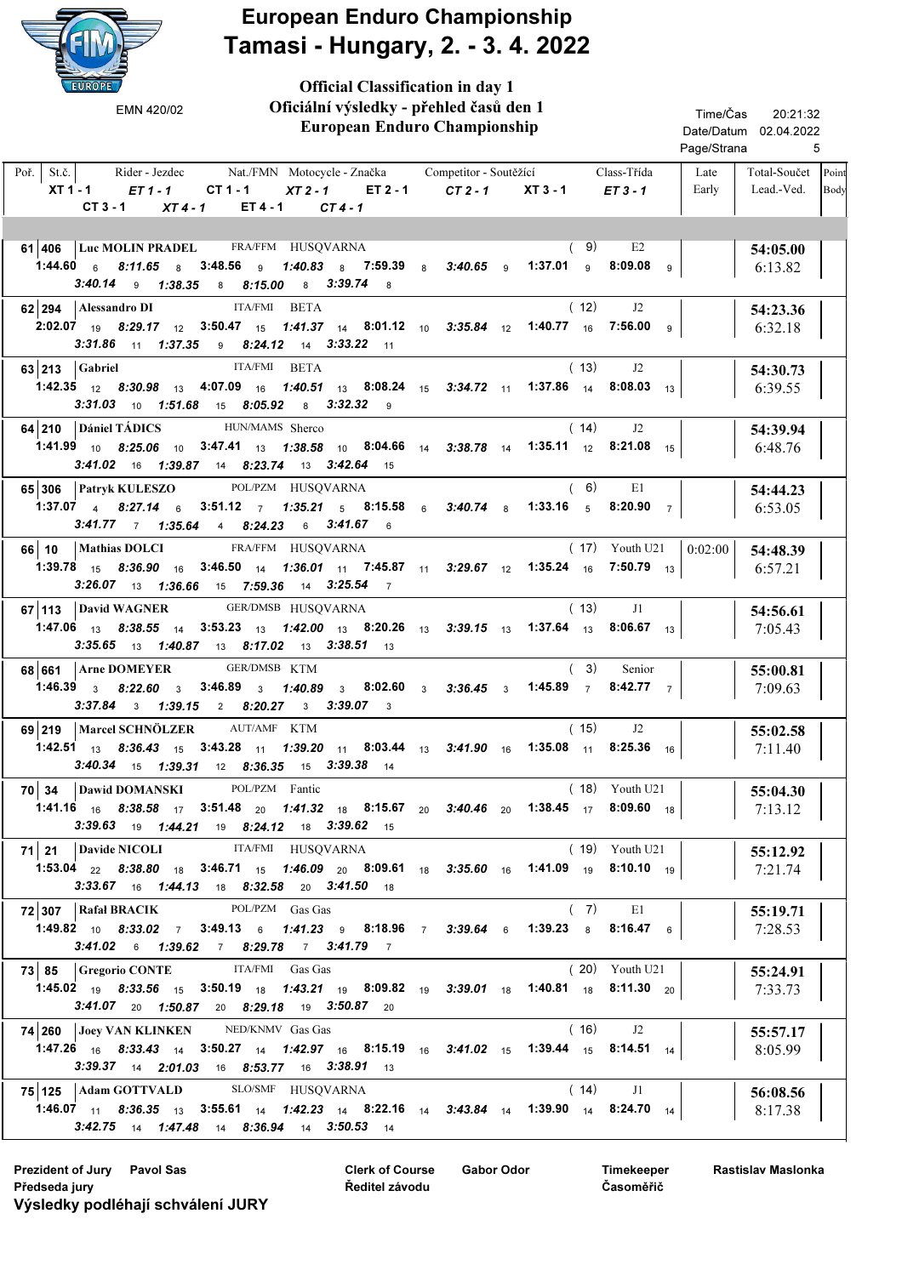

Official Classification in day 1

 European Enduro Championship Rider - Jezdec Nat./FMN Motocycle - Značka Competitor - Soutěžící Class-Třída Late Total-Součet Lead.-Ved. Poř. St.č. XT1-1 ET1-1 CT1-1 XT2-1 ET2-1 CT2-1 XT3-1 20:21:32 5 Date/Datum 02.04.2022 Time/Čas Page/Strana Late Early Competitor - Soutěžící Oficiální výsledky - přehled časů den 1  $ET 3 - 1$ Point Body EMN 420/02 CT 3 - 1 XT 4 - 1 ET 4 - 1 CT 4 - 1 61 406 | Luc MOLIN PRADEL FRA/FFM HUSQVARNA (9) E2 | 54:05.00 6:13.82  $1:44.60$  6  $8:11.65$  8  $3:48.56$  9  $1:40.83$  8  $7:59.39$  8  $3:40.65$  9  $1:37.01$  9  $8:09.08$  9  $(9)$  E2  $3:40.14$  9 1:38.35 8 8:15.00 8 3:39.74 8 62 294 Alessandro DI BETA (12) 32 Alessandro DI BETA 6:32.18 ITA/FMI  $2:02.07$  19  $8:29.17$  12  $3:50.47$  15 1:41.37 14  $8:01.12$  10  $3:35.84$  12 1:40.77 16  $7:56.00$  9  $(12)$  J2  $3:31.86$  11  $1:37.35$  9  $8:24.12$  14  $3:33.22$  11 63 213 54:30.73 6:39.55 Gabriel ITA/FMI BETA **1:42.35** 12 **8:30.98** 13 **4:07.09** 16 **1:40.51** 13 **8:08.24** 15 **3:34.72** 11 **1:37.86** 14 **8:08.03** 13  $(13)$  $3:31.03$  10 1:51.68 15 8:05.92 8 3:32.32 9 64 210 | Dániel TÁDICS HUN/MAMS Sherco (14) 32 | 54:39.94 6:48.76 HUN/MAMS Sherco **1:41.99** 10 **8:25.06** 10 **3:47.41** 13 **1:38.58** 10 **8:04.66** 14 **3:38.78** 14 **1:35.11** 12 **8:21.08** 15  $(14)$  J2  $3:41.02$  16 1:39.87 14 8:23.74 13 3:42.64 15 65 306 Patryk KULESZO POL/PZM HUSQVARNA (6) E1 | 54:44.23 6:53.05 Patryk KULESZO POL/PZM HUSQVARNA 1:37.07 <sub>4</sub> 8:27.14  $_6$  3:51.12  $_7$  1:35.21  $_5$  8:15.58  $_6$  3:40.74  $_8$  1:33.16  $_5$  8:20.90  $_7$  $(6)$  $3:41.77$  7 1:35.64 4 8:24.23 6 3:41.67 6 66 10 Mathias DOLCI FRA/FFM HUSQVARNA (17) Youth U21 0:02:00 54:48.39 6:57.21 FRA/FFM Mathias DOLCI HUSQVARNA 0:02:00 1:39.78 8:36.90 3:46.50 1:36.01 7:45.87 3:29.67 1:35.24 15 16 14 11 11 12 16 13 7:50.79 ( 17) Youth U21  $3:26.07$  13 1:36.66 15 7:59.36 14 3:25.54 7 67 | 113 | David WAGNER GER/DMSB HUSQVARNA (13)  $J1$  | 54:56.61 7:05.43 David WAGNER **GER/DMSB HUSQVARNA**  $\,$  1:47.06  $\,$  1 $_{3}$   $\,$   $\,$  8:38.55  $\,$  14  $\,$  3:53.23  $\,$  13  $\,$  1:42.00  $\,$  13  $\,$  8:20.26  $\,$  13  $\,$  3:99.15  $\,$  13  $\,$  1:37.64  $\,$  13  $\,$  8:06.67  $\,$  13  $(13)$ **3:35.65** 13 **1:40.87** 13 **8:17.02** 13 **3:38.51** 13 **68 661 Arne DOMEYER** GER/DMSB KTM (3) Senior (55:00.81 7:09.63 GER/DMSB 1:46.39  $_3$  8:22.60  $_3$  3:46.89  $_3$  1:40.89  $_3$  8:02.60  $_3$  3:36.45  $_3$  1:45.89  $_7$  8:42.77  $_7$ ( 3) Senior 3:37.84 3 1:39.15 2 8:20.27 3 3:39.07 3 69 219 | Marcel SCHNÖLZER AUT/AMF KTM (15) 32 | 55:02.58 7:11.40 AUT/AMF  $1:42.51$   $1_3$   $8:36.43$   $1_5$   $3:43.28$   $1_1$   $1:39.20$   $1_1$   $8:03.44$   $1_3$   $3:41.90$   $1_6$   $1:35.08$   $1_1$   $8:25.36$   $1_6$  $(15)$  J2  $3:40.34$  15 1:39.31 12 8:36.35 15 3:39.38 14 **70 34 Dawid DOMANSKI** POL/PZM Fantic (18) Youth U21 55:04.30 7:13.12 POL/PZM 1:41.16 8:38.58 3:51.48 1:41.32 8:15.67 3:40.46 1:38.45 16 17 20 18 20 20 17 18 8:09.60 ( 18) Youth U21  $3:39.63$  19 1:44.21 19 8:24.12 18 3:39.62 15 71 21 Davide NICOLI ITA/FMI HUSQVARNA (19) Youth U21 | 55:12.92 7:21.74 Davide NICOLI **ITA/FMI** HUSQVARNA  $\begin{array}{cccccccccccc} 1:53.04 & _{22} & 8:38.80 & _{18} & 3:46.71 & _{15} & 1:46.09 & _{20} & 8:09.61 & _{18} & 3:35.60 & _{16} & 1:41.09 & _{19} & 8:10.10 & _{19} \end{array}$ ( 19) Youth U21  $3:33.67$  16 1:44.13 18 8:32.58 20 3:41.50 18 72 307 Rafał BRACIK POL/PZM Gas Gas (7) E1 | 55:19.71 7:28.53 Rafał BRACIK POL/PZM Gas Gas 1:49.82 <sub>10</sub> 8:33.02 7 3:49.13 <sub>6</sub> 1:41.23 <sub>9</sub> 8:18.96 7 3:39.64 <sub>6</sub> 1:39.23 <sub>8</sub> 8:16.47 <sub>6</sub>  $(7)$  $3:41.02$  6 1:39.62 7 8:29.78 7 3:41.79 7 73 85 | Gregorio CONTE ITA/FMI Gas Gas (20) Youth U21 | 55:24.91 7:33.73 ITA/FMI Gas Gas  $1:45.02$  <sub>19</sub>  $8:33.56$  <sub>15</sub>  $3:50.19$  <sub>18</sub>  $1:43.21$  <sub>19</sub>  $8:09.82$  <sub>19</sub>  $3:39.01$  <sub>18</sub>  $1:40.81$  <sub>18</sub>  $8:11.30$   $_{20}$ ( 20) Youth U21  $3:41.07$  20 1:50.87 20 8:29.18 19 3:50.87 20 **74 260 Joey VAN KLINKEN** NED/KNMV Gas Gas (16) J2 1 55:57.17 8:05.99 NED/KNMV Gas Gas  $1:47.26$  <sub>16</sub>  $8:33.43$  <sub>14</sub>  $3:50.27$  <sub>14</sub>  $1:42.97$  <sub>16</sub>  $8:15.19$  <sub>16</sub>  $3:41.02$  <sub>15</sub>  $1:39.44$  <sub>15</sub>  $8:14.51$  <sub>14</sub>  $(16)$  J2  $3:39.37$  14 2:01.03 16 8:53.77 16 3:38.91 13 75 125 Adam GOTTVALD SLO/SMF HUSQVARNA (14) J1 36:08.56 8:17.38 SLO/SMF **1:46.07** 11 8:36.35 13 3:55.61 14 1:42.23 14 8:22.16 14 3:43.84 14 1:39.90 14 8:24.70 14  $(14)$  J1  $3:42.75$  14 1:47.48 14 8:36.94 14 3:50.53 14

Prezident of Jury Pavol Sas Clerk of Course Gabor Odor Předseda jury Výsledky podléhají schválení JURY

Clerk of Course Ředitel závodu

Timekeeper Časoměřič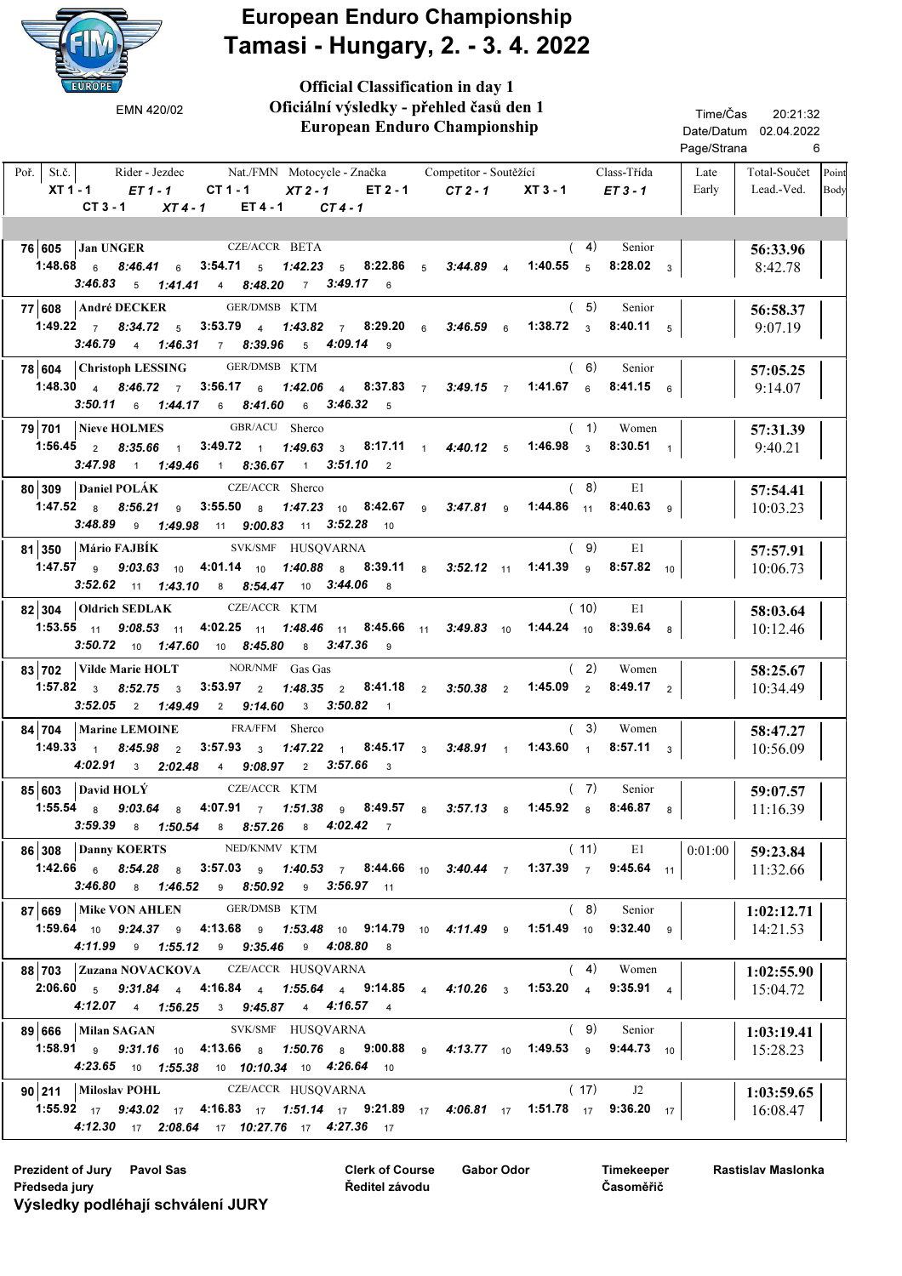

Official Classification in day 1

| Oficiální výsledky - přehled časů den 1<br>EMN 420/02<br><b>European Enduro Championship</b>                                                                                                                                                                                 | Time/Čas<br>20:21:32<br>Date/Datum 02.04.2022<br>Page/Strana<br>6 |                                          |  |  |
|------------------------------------------------------------------------------------------------------------------------------------------------------------------------------------------------------------------------------------------------------------------------------|-------------------------------------------------------------------|------------------------------------------|--|--|
| Poř. $\vert$ St.č. $\vert$<br>Rider - Jezdec Mat./FMN Motocycle - Značka Competitor - Soutěžící<br>Class-Třída<br>XT1-1 <i>ET1-1</i> CT1-1<br>XT2-1 ET2-1 CT2-1 XT3-1 ET3-1<br>$CT3 - 1$<br>$XT4-1$ $ET4-1$ $CT4-1$                                                          | Late<br>Early                                                     | Total-Součet Point<br>Lead.-Ved.<br>Body |  |  |
| CZE/ACCR BETA<br>76 605 Jan UNGER<br>(4)<br>Senior<br>1.48.68 6 8.46.41 6 3.54.71 5 1.42.23 5 8.22.86 5 3.44.89 4<br>1:40.55 $5$<br>8:28.02 <sub>3</sub><br>3:46.83 5 1:41.41 4 8:48.20 7 3:49.17 6                                                                          |                                                                   | 56:33.96<br>8:42.78                      |  |  |
| GER/DMSB KTM<br>(5)<br>77 608   André DECKER<br>Senior<br>1:49.22 $7$ 8:34.72 $5$<br>3:53.79 4 1:43.82 7 8:29.20 6 3:46.59 6<br>1:38.72 $3$<br>8:40.11 $5$<br>3:46.79 4 1:46.31 7 8:39.96 5 4:09.14 9                                                                        |                                                                   | 56:58.37<br>9:07.19                      |  |  |
| 78 604 Christoph LESSING<br>GER/DMSB KTM<br>(6)<br>Senior<br>1:48.30 4 8:46.72 7 3:56.17 6 1:42.06 4 8:37.83 7 3:49.15 7 1:41.67 6<br><b>8:41.15</b> 6<br>3:50.11 6 1:44.17 6 8:41.60 6 3:46.32 5                                                                            |                                                                   | 57:05.25<br>9:14.07                      |  |  |
| GBR/ACU Sherco<br>(1)<br>79 701 Nieve HOLMES<br>Women<br><b>1:56.45</b> 2 8:35.66 1<br>$3:49.72 \quad 1 \quad 1:49.63 \quad 3 \quad 8:17.11 \quad 1 \quad 4:40.12 \quad 5$<br>1:46.98 <sub>3</sub><br>8:30.51 $1$<br>$3:47.98$ 1 $1:49.46$ 1 $8:36.67$ 1 $3:51.10$ 2         |                                                                   | 57:31.39<br>9:40.21                      |  |  |
| CZE/ACCR Sherco<br>80 309 Daniel POLÁK<br>(8)<br>E1<br>1:47.52 $8.56.21$ 9<br>3:55.50 8 1:47.23 10 8:42.67 9 3:47.81 9<br>1:44.86 $11$ 8:40.63 9<br><b>3:48.89</b> 9 <b>1:49.98</b> 11 <b>9:00.83</b> 11 <b>3:52.28</b> 10                                                   |                                                                   | 57:54.41<br>10:03.23                     |  |  |
| SVK/SMF HUSQVARNA<br>81 350   Mário FAJBÍK<br>(9)<br>E1<br><b>1:47.57</b> 9 <b>9:03.63</b> 10 <b>4:01.14</b> 10 <b>1:40.88</b> 8 <b>8:39.11</b> 8 <b>3:52.12</b> 11 <b>1:41.39</b> 9 <b>8:57.82</b> 10<br>3:52.62 11 1:43.10 8 8:54.47 10 3:44.06 8                          |                                                                   | 57:57.91<br>10:06.73                     |  |  |
| CZE/ACCR KTM<br>$82 304 $ Oldrich SEDLAK<br>(10)<br>E1<br><b>1:53.55</b> 11 9:08.53 11 4:02.25 11 1:48.46 11 8:45.66 11 3:49.83 10 1:44.24 10<br>8:39.64 $8$<br>3:50.72 10 1:47.60 10 8:45.80 8 3:47.36 9                                                                    |                                                                   | 58:03.64<br>10:12.46                     |  |  |
| NOR/NMF Gas Gas<br>83 702   Vilde Marie HOLT<br>(2)<br>Women<br>1:57.82 $3$ 8:52.75 $3$<br>3:53.97 $\frac{1}{2}$ 1:48.35 $\frac{1}{2}$ 8:41.18 $\frac{1}{2}$ 3:50.38 $\frac{1}{2}$<br>$1:45.09$ 2<br>8:49.17 $\frac{2}{3}$<br>$3:52.05$ 2 1:49.49 2 9:14.60<br>3 3:50.82 1   |                                                                   | 58:25.67<br>10:34.49                     |  |  |
| FRA/FFM Sherco<br>84 704   Marine LEMOINE<br>(3)<br>Women<br>1:49.33 $1$<br>$1:47.22$ $1$ $8:45.17$ $3$ $3:48.91$ $1$ $1:43.60$ $1$<br>$8:45.98$ 2<br>$3:57.93$ $_3$<br>8:57.11 $_3$<br>4:02.91 3 2:02.48 4 9:08.97 2 3:57.66 3                                              |                                                                   | 58:47.27<br>10:56.09                     |  |  |
| 85 603 David HOLÝ CZE/ACCR KTM<br>$(7)$ Senior<br>1:55.54 $\frac{1}{8}$ 9:03.64 $\frac{1}{8}$ 4:07.91 $\frac{1}{7}$ 1:51.38 $\frac{1}{9}$ 8:49.57 $\frac{1}{8}$ 3:57.13 $\frac{1}{8}$ 1:45.92 $\frac{1}{8}$ 8:46.87 $\frac{1}{8}$<br>3:59.39 8 1:50.54 8 8:57.26 8 4:02.42 7 |                                                                   | 59:07.57<br>11:16.39                     |  |  |
| $(11)$ E1<br>86 308 Danny KOERTS<br>NED/KNMV KTM<br>1:42.66 6 8:54.28 8 3:57.03 9 1:40.53 7 8:44.66 10 3:40.44 7 1:37.39 7 9:45.64 11<br>3:46.80 8 1:46.52 9 8:50.92 9 3:56.97 11                                                                                            | 0:01:00                                                           | 59:23.84<br>11:32.66                     |  |  |
| 87 669 Mike VON AHLEN GER/DMSB KTM<br>(8)<br>Senior<br><b>1:59.64</b> <sub>10</sub> <b>9:24.37 9 4:13.68 9 1:53.48 10 9:14.79 10 4:11.49 9 1:51.49 10 9:32.40 9</b><br>4:11.99 9 1:55.12 9 9:35.46 9 4:08.80 8                                                               |                                                                   | 1:02:12.71<br>14:21.53                   |  |  |
| 88 703 Zuzana NOVACKOVA CZE/ACCR HUSQVARNA<br>$(4)$ Women<br>2:06.60 5 9:31.84 4 4:16.84 4 1:55.64 4 9:14.85 4 4:10.26 3 1:53.20 4 9:35.91 4<br>4:12.07 4 1:56.25 3 9:45.87 4 4:16.57 4                                                                                      |                                                                   | 1:02:55.90<br>15:04.72                   |  |  |
| 89 666 Milan SAGAN SVK/SMF HUSQVARNA<br>(9)<br>Senior<br>1:58.91 <b>9</b> 9:31.16 10 4:13.66 <b>8</b> 1:50.76 <b>8</b> 9:00.88 <b>9</b> 4:13.77 10 1:49.53 <b>9</b> 9:44.73 10<br>4:23.65 10 1:55.38 10 10:10.34 10 4:26.64 10                                               |                                                                   | 1:03:19.41<br>15:28.23                   |  |  |
| 90 211   Miloslav POHL CZE/ACCR HUSQVARNA<br>(17)<br>J2<br><b>1:55.92</b> 17 <b>9:43.02</b> 17 <b>4:16.83</b> 17 <b>1:51.14</b> 17 <b>9:21.89</b> 17 <b>4:06.81</b> 17 <b>1:51.78</b> 17 <b>9:36.20</b> 17<br>4:12.30 17 2:08.64 17 10:27.76 17 4:27.36 17                   |                                                                   | 1:03:59.65<br>16:08.47                   |  |  |

Prezident of Jury Pavol Sas Gabor Odor Clerk of Course Gabor Odor Předseda jury Výsledky podléhají schválení JURY

Clerk of Course Ředitel závodu

Timekeeper Časoměřič